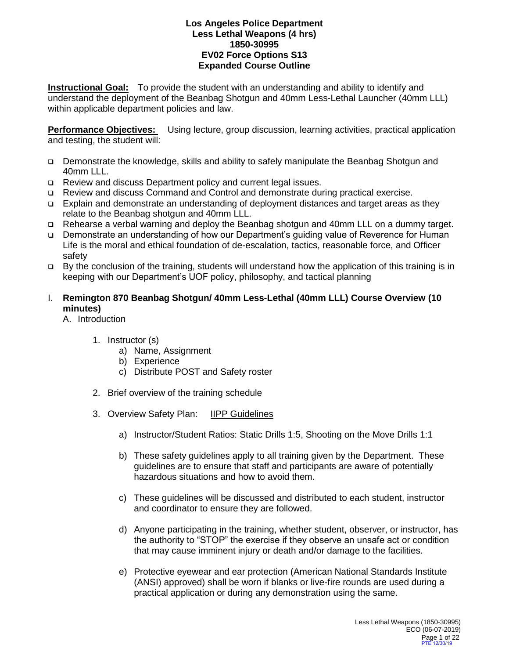**Instructional Goal:** To provide the student with an understanding and ability to identify and understand the deployment of the Beanbag Shotgun and 40mm Less-Lethal Launcher (40mm LLL) within applicable department policies and law.

**Performance Objectives:** Using lecture, group discussion, learning activities, practical application and testing, the student will:

- Demonstrate the knowledge, skills and ability to safely manipulate the Beanbag Shotgun and 40mm LLL.
- □ Review and discuss Department policy and current legal issues.
- Review and discuss Command and Control and demonstrate during practical exercise.
- Explain and demonstrate an understanding of deployment distances and target areas as they relate to the Beanbag shotgun and 40mm LLL.
- Rehearse a verbal warning and deploy the Beanbag shotgun and 40mm LLL on a dummy target.
- Demonstrate an understanding of how our Department's guiding value of Reverence for Human Life is the moral and ethical foundation of de-escalation, tactics, reasonable force, and Officer safety
- $\Box$  By the conclusion of the training, students will understand how the application of this training is in keeping with our Department's UOF policy, philosophy, and tactical planning

## I. **Remington 870 Beanbag Shotgun/ 40mm Less-Lethal (40mm LLL) Course Overview (10 minutes)**

A. Introduction

- 1. Instructor (s)
	- a) Name, Assignment
	- b) Experience
	- c) Distribute POST and Safety roster
- 2. Brief overview of the training schedule
- 3. Overview Safety Plan: IIPP Guidelines
	- a) Instructor/Student Ratios: Static Drills 1:5, Shooting on the Move Drills 1:1
	- b) These safety guidelines apply to all training given by the Department. These guidelines are to ensure that staff and participants are aware of potentially hazardous situations and how to avoid them.
	- c) These guidelines will be discussed and distributed to each student, instructor and coordinator to ensure they are followed.
	- d) Anyone participating in the training, whether student, observer, or instructor, has the authority to "STOP" the exercise if they observe an unsafe act or condition that may cause imminent injury or death and/or damage to the facilities.
	- e) Protective eyewear and ear protection (American National Standards Institute (ANSI) approved) shall be worn if blanks or live-fire rounds are used during a practical application or during any demonstration using the same.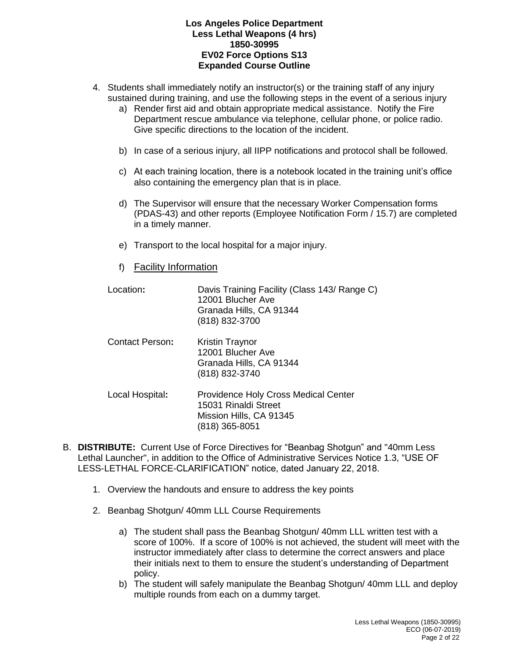- 4. Students shall immediately notify an instructor(s) or the training staff of any injury sustained during training, and use the following steps in the event of a serious injury
	- a) Render first aid and obtain appropriate medical assistance. Notify the Fire Department rescue ambulance via telephone, cellular phone, or police radio. Give specific directions to the location of the incident.
	- b) In case of a serious injury, all IIPP notifications and protocol shall be followed.
	- c) At each training location, there is a notebook located in the training unit's office also containing the emergency plan that is in place.
	- d) The Supervisor will ensure that the necessary Worker Compensation forms (PDAS-43) and other reports (Employee Notification Form / 15.7) are completed in a timely manner.
	- e) Transport to the local hospital for a major injury.
	- f) Facility Information

| Location:       | Davis Training Facility (Class 143/ Range C)<br>12001 Blucher Ave<br>Granada Hills, CA 91344<br>(818) 832-3700   |
|-----------------|------------------------------------------------------------------------------------------------------------------|
| Contact Person: | Kristin Traynor<br>12001 Blucher Ave<br>Granada Hills, CA 91344<br>(818) 832-3740                                |
| Local Hospital: | <b>Providence Holy Cross Medical Center</b><br>15031 Rinaldi Street<br>Mission Hills, CA 91345<br>(818) 365-8051 |

- B. **DISTRIBUTE:** Current Use of Force Directives for "Beanbag Shotgun" and "40mm Less Lethal Launcher", in addition to the Office of Administrative Services Notice 1.3, "USE OF LESS-LETHAL FORCE-CLARIFICATION" notice, dated January 22, 2018.
	- 1. Overview the handouts and ensure to address the key points
	- 2. Beanbag Shotgun/ 40mm LLL Course Requirements
		- a) The student shall pass the Beanbag Shotgun/ 40mm LLL written test with a score of 100%. If a score of 100% is not achieved, the student will meet with the instructor immediately after class to determine the correct answers and place their initials next to them to ensure the student's understanding of Department policy.
		- b) The student will safely manipulate the Beanbag Shotgun/ 40mm LLL and deploy multiple rounds from each on a dummy target.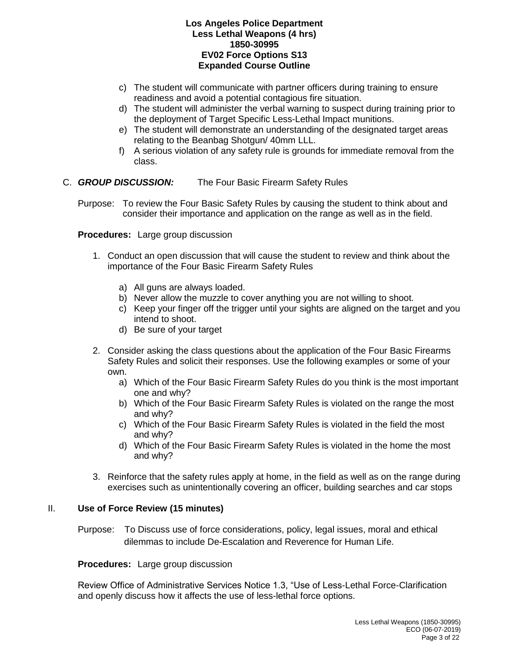- c) The student will communicate with partner officers during training to ensure readiness and avoid a potential contagious fire situation.
- d) The student will administer the verbal warning to suspect during training prior to the deployment of Target Specific Less-Lethal Impact munitions.
- e) The student will demonstrate an understanding of the designated target areas relating to the Beanbag Shotgun/ 40mm LLL.
- f) A serious violation of any safety rule is grounds for immediate removal from the class.

### C. *GROUP DISCUSSION:* The Four Basic Firearm Safety Rules

Purpose: To review the Four Basic Safety Rules by causing the student to think about and consider their importance and application on the range as well as in the field.

**Procedures:** Large group discussion

- 1. Conduct an open discussion that will cause the student to review and think about the importance of the Four Basic Firearm Safety Rules
	- a) All guns are always loaded.
	- b) Never allow the muzzle to cover anything you are not willing to shoot.
	- c) Keep your finger off the trigger until your sights are aligned on the target and you intend to shoot.
	- d) Be sure of your target
- 2. Consider asking the class questions about the application of the Four Basic Firearms Safety Rules and solicit their responses. Use the following examples or some of your own.
	- a) Which of the Four Basic Firearm Safety Rules do you think is the most important one and why?
	- b) Which of the Four Basic Firearm Safety Rules is violated on the range the most and why?
	- c) Which of the Four Basic Firearm Safety Rules is violated in the field the most and why?
	- d) Which of the Four Basic Firearm Safety Rules is violated in the home the most and why?
- 3. Reinforce that the safety rules apply at home, in the field as well as on the range during exercises such as unintentionally covering an officer, building searches and car stops

#### II. **Use of Force Review (15 minutes)**

Purpose: To Discuss use of force considerations, policy, legal issues, moral and ethical dilemmas to include De-Escalation and Reverence for Human Life.

#### **Procedures:** Large group discussion

Review Office of Administrative Services Notice 1.3, "Use of Less-Lethal Force-Clarification and openly discuss how it affects the use of less-lethal force options.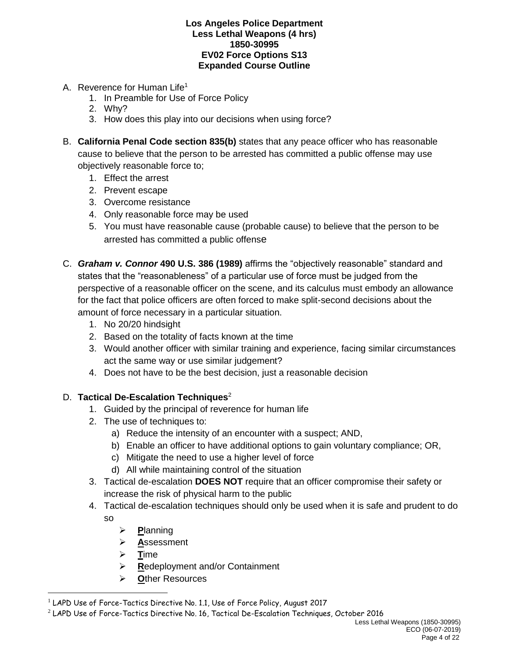- A. Reverence for Human Life<sup>1</sup>
	- 1. In Preamble for Use of Force Policy
	- 2. Why?
	- 3. How does this play into our decisions when using force?
- B. **California Penal Code section 835(b)** states that any peace officer who has reasonable cause to believe that the person to be arrested has committed a public offense may use objectively reasonable force to;
	- 1. Effect the arrest
	- 2. Prevent escape
	- 3. Overcome resistance
	- 4. Only reasonable force may be used
	- 5. You must have reasonable cause (probable cause) to believe that the person to be arrested has committed a public offense
- C. *Graham v. Connor* **490 U.S. 386 (1989)** affirms the "objectively reasonable" standard and states that the "reasonableness" of a particular use of force must be judged from the perspective of a reasonable officer on the scene, and its calculus must embody an allowance for the fact that police officers are often forced to make split-second decisions about the amount of force necessary in a particular situation.
	- 1. No 20/20 hindsight
	- 2. Based on the totality of facts known at the time
	- 3. Would another officer with similar training and experience, facing similar circumstances act the same way or use similar judgement?
	- 4. Does not have to be the best decision, just a reasonable decision

# D. **Tactical De-Escalation Techniques**<sup>2</sup>

- 1. Guided by the principal of reverence for human life
- 2. The use of techniques to:
	- a) Reduce the intensity of an encounter with a suspect; AND,
	- b) Enable an officer to have additional options to gain voluntary compliance; OR,
	- c) Mitigate the need to use a higher level of force
	- d) All while maintaining control of the situation
- 3. Tactical de-escalation **DOES NOT** require that an officer compromise their safety or increase the risk of physical harm to the public
- 4. Tactical de-escalation techniques should only be used when it is safe and prudent to do so
	- ➢ **P**lanning
	- ➢ **A**ssessment
	- ➢ **T**ime

 $\overline{a}$ 

- ➢ **R**edeployment and/or Containment
- ➢ **O**ther Resources

 $1$  LAPD Use of Force-Tactics Directive No. 1.1, Use of Force Policy, August 2017

<sup>2</sup> LAPD Use of Force-Tactics Directive No. 16, Tactical De-Escalation Techniques, October 2016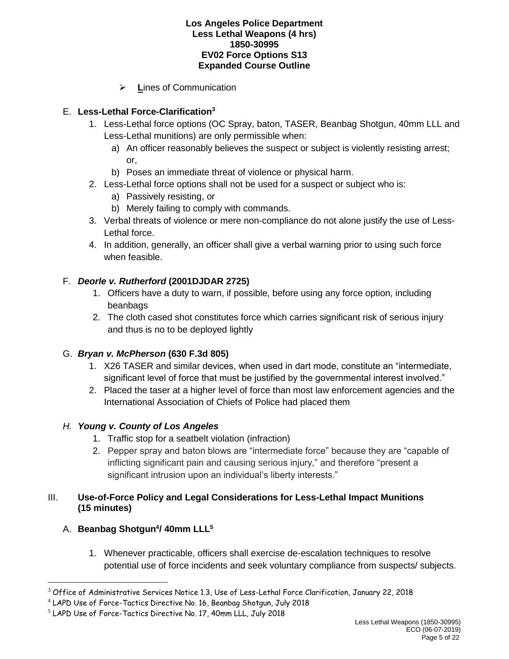➢ **L**ines of Communication

# E. **Less-Lethal Force-Clarification<sup>3</sup>**

- 1. Less-Lethal force options (OC Spray, baton, TASER, Beanbag Shotgun, 40mm LLL and Less-Lethal munitions) are only permissible when:
	- a) An officer reasonably believes the suspect or subject is violently resisting arrest; or,
	- b) Poses an immediate threat of violence or physical harm.
- 2. Less-Lethal force options shall not be used for a suspect or subject who is:
	- a) Passively resisting, or
	- b) Merely failing to comply with commands.
- 3. Verbal threats of violence or mere non-compliance do not alone justify the use of Less-Lethal force.
- 4. In addition, generally, an officer shall give a verbal warning prior to using such force when feasible.

# F. *Deorle v. Rutherford* **(2001DJDAR 2725)**

- 1. Officers have a duty to warn, if possible, before using any force option, including beanbags
- 2. The cloth cased shot constitutes force which carries significant risk of serious injury and thus is no to be deployed lightly

## G. *Bryan v. McPherson* **(630 F.3d 805)**

- 1. X26 TASER and similar devices, when used in dart mode, constitute an "intermediate, significant level of force that must be justified by the governmental interest involved."
- 2. Placed the taser at a higher level of force than most law enforcement agencies and the International Association of Chiefs of Police had placed them

## *H. Young v. County of Los Angeles*

- 1. Traffic stop for a seatbelt violation (infraction)
- 2. Pepper spray and baton blows are "intermediate force" because they are "capable of inflicting significant pain and causing serious injury," and therefore "present a significant intrusion upon an individual's liberty interests."

## III. **Use-of-Force Policy and Legal Considerations for Less-Lethal Impact Munitions (15 minutes)**

## A. **Beanbag Shotgun<sup>4</sup> / 40mm LLL<sup>5</sup>**

 $\overline{a}$ 

1. Whenever practicable, officers shall exercise de-escalation techniques to resolve potential use of force incidents and seek voluntary compliance from suspects/ subjects.

<sup>3</sup> Office of Administrative Services Notice 1.3, Use of Less-Lethal Force Clarification, January 22, 2018

<sup>4</sup> LAPD Use of Force-Tactics Directive No. 16, Beanbag Shotgun, July 2018

<sup>5</sup> LAPD Use of Force-Tactics Directive No. 17, 40mm LLL, July 2018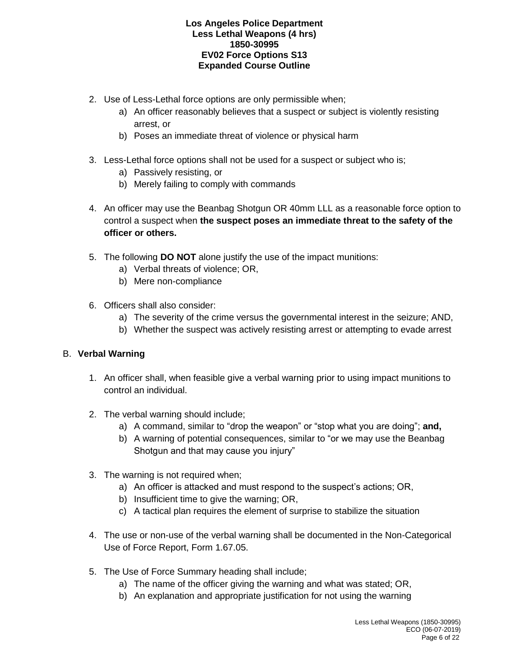- 2. Use of Less-Lethal force options are only permissible when;
	- a) An officer reasonably believes that a suspect or subject is violently resisting arrest, or
	- b) Poses an immediate threat of violence or physical harm
- 3. Less-Lethal force options shall not be used for a suspect or subject who is;
	- a) Passively resisting, or
	- b) Merely failing to comply with commands
- 4. An officer may use the Beanbag Shotgun OR 40mm LLL as a reasonable force option to control a suspect when **the suspect poses an immediate threat to the safety of the officer or others.**
- 5. The following **DO NOT** alone justify the use of the impact munitions:
	- a) Verbal threats of violence; OR,
	- b) Mere non-compliance
- 6. Officers shall also consider:
	- a) The severity of the crime versus the governmental interest in the seizure; AND,
	- b) Whether the suspect was actively resisting arrest or attempting to evade arrest

## B. **Verbal Warning**

- 1. An officer shall, when feasible give a verbal warning prior to using impact munitions to control an individual.
- 2. The verbal warning should include;
	- a) A command, similar to "drop the weapon" or "stop what you are doing"; **and,**
	- b) A warning of potential consequences, similar to "or we may use the Beanbag Shotgun and that may cause you injury"
- 3. The warning is not required when;
	- a) An officer is attacked and must respond to the suspect's actions; OR,
	- b) Insufficient time to give the warning; OR,
	- c) A tactical plan requires the element of surprise to stabilize the situation
- 4. The use or non-use of the verbal warning shall be documented in the Non-Categorical Use of Force Report, Form 1.67.05.
- 5. The Use of Force Summary heading shall include;
	- a) The name of the officer giving the warning and what was stated; OR,
	- b) An explanation and appropriate justification for not using the warning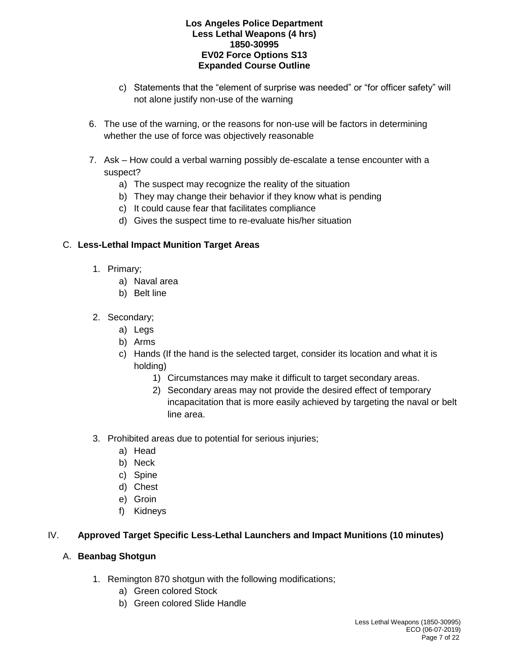- c) Statements that the "element of surprise was needed" or "for officer safety" will not alone justify non-use of the warning
- 6. The use of the warning, or the reasons for non-use will be factors in determining whether the use of force was objectively reasonable
- 7. Ask How could a verbal warning possibly de-escalate a tense encounter with a suspect?
	- a) The suspect may recognize the reality of the situation
	- b) They may change their behavior if they know what is pending
	- c) It could cause fear that facilitates compliance
	- d) Gives the suspect time to re-evaluate his/her situation

# C. **Less-Lethal Impact Munition Target Areas**

- 1. Primary;
	- a) Naval area
	- b) Belt line
- 2. Secondary;
	- a) Legs
	- b) Arms
	- c) Hands (If the hand is the selected target, consider its location and what it is holding)
		- 1) Circumstances may make it difficult to target secondary areas.
		- 2) Secondary areas may not provide the desired effect of temporary incapacitation that is more easily achieved by targeting the naval or belt line area.
- 3. Prohibited areas due to potential for serious injuries;
	- a) Head
	- b) Neck
	- c) Spine
	- d) Chest
	- e) Groin
	- f) Kidneys

# IV. **Approved Target Specific Less-Lethal Launchers and Impact Munitions (10 minutes)**

## A. **Beanbag Shotgun**

- 1. Remington 870 shotgun with the following modifications;
	- a) Green colored Stock
	- b) Green colored Slide Handle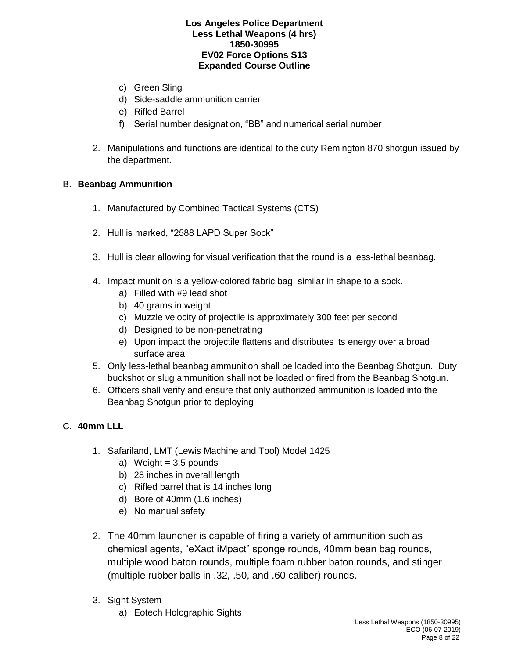- c) Green Sling
- d) Side-saddle ammunition carrier
- e) Rifled Barrel
- f) Serial number designation, "BB" and numerical serial number
- 2. Manipulations and functions are identical to the duty Remington 870 shotgun issued by the department.

### B. **Beanbag Ammunition**

- 1. Manufactured by Combined Tactical Systems (CTS)
- 2. Hull is marked, "2588 LAPD Super Sock"
- 3. Hull is clear allowing for visual verification that the round is a less-lethal beanbag.
- 4. Impact munition is a yellow-colored fabric bag, similar in shape to a sock.
	- a) Filled with #9 lead shot
	- b) 40 grams in weight
	- c) Muzzle velocity of projectile is approximately 300 feet per second
	- d) Designed to be non-penetrating
	- e) Upon impact the projectile flattens and distributes its energy over a broad surface area
- 5. Only less-lethal beanbag ammunition shall be loaded into the Beanbag Shotgun. Duty buckshot or slug ammunition shall not be loaded or fired from the Beanbag Shotgun.
- 6. Officers shall verify and ensure that only authorized ammunition is loaded into the Beanbag Shotgun prior to deploying

## C. **40mm LLL**

- 1. Safariland, LMT (Lewis Machine and Tool) Model 1425
	- a) Weight  $= 3.5$  pounds
	- b) 28 inches in overall length
	- c) Rifled barrel that is 14 inches long
	- d) Bore of 40mm (1.6 inches)
	- e) No manual safety
- 2. The 40mm launcher is capable of firing a variety of ammunition such as chemical agents, "eXact iMpact" sponge rounds, 40mm bean bag rounds, multiple wood baton rounds, multiple foam rubber baton rounds, and stinger (multiple rubber balls in .32, .50, and .60 caliber) rounds.
- 3. Sight System
	- a) Eotech Holographic Sights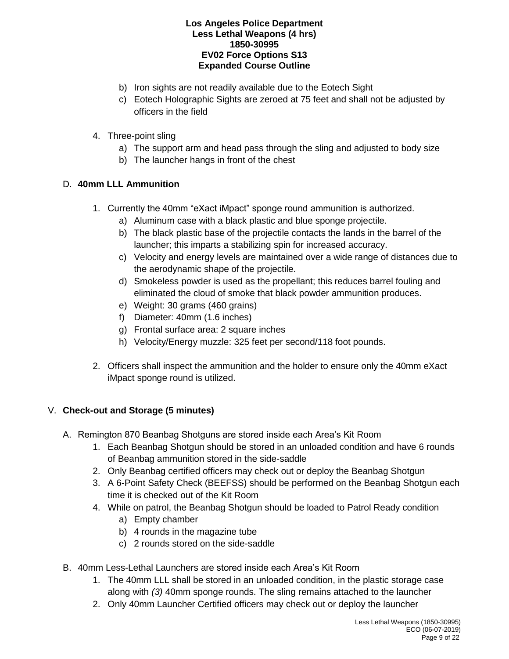- b) Iron sights are not readily available due to the Eotech Sight
- c) Eotech Holographic Sights are zeroed at 75 feet and shall not be adjusted by officers in the field
- 4. Three-point sling
	- a) The support arm and head pass through the sling and adjusted to body size
	- b) The launcher hangs in front of the chest

# D. **40mm LLL Ammunition**

- 1. Currently the 40mm "eXact iMpact" sponge round ammunition is authorized.
	- a) Aluminum case with a black plastic and blue sponge projectile.
	- b) The black plastic base of the projectile contacts the lands in the barrel of the launcher; this imparts a stabilizing spin for increased accuracy.
	- c) Velocity and energy levels are maintained over a wide range of distances due to the aerodynamic shape of the projectile.
	- d) Smokeless powder is used as the propellant; this reduces barrel fouling and eliminated the cloud of smoke that black powder ammunition produces.
	- e) Weight: 30 grams (460 grains)
	- f) Diameter: 40mm (1.6 inches)
	- g) Frontal surface area: 2 square inches
	- h) Velocity/Energy muzzle: 325 feet per second/118 foot pounds.
- 2. Officers shall inspect the ammunition and the holder to ensure only the 40mm eXact iMpact sponge round is utilized.

# V. **Check-out and Storage (5 minutes)**

- A. Remington 870 Beanbag Shotguns are stored inside each Area's Kit Room
	- 1. Each Beanbag Shotgun should be stored in an unloaded condition and have 6 rounds of Beanbag ammunition stored in the side-saddle
	- 2. Only Beanbag certified officers may check out or deploy the Beanbag Shotgun
	- 3. A 6-Point Safety Check (BEEFSS) should be performed on the Beanbag Shotgun each time it is checked out of the Kit Room
	- 4. While on patrol, the Beanbag Shotgun should be loaded to Patrol Ready condition
		- a) Empty chamber
		- b) 4 rounds in the magazine tube
		- c) 2 rounds stored on the side-saddle
- B. 40mm Less-Lethal Launchers are stored inside each Area's Kit Room
	- 1. The 40mm LLL shall be stored in an unloaded condition, in the plastic storage case along with *(3)* 40mm sponge rounds. The sling remains attached to the launcher
	- 2. Only 40mm Launcher Certified officers may check out or deploy the launcher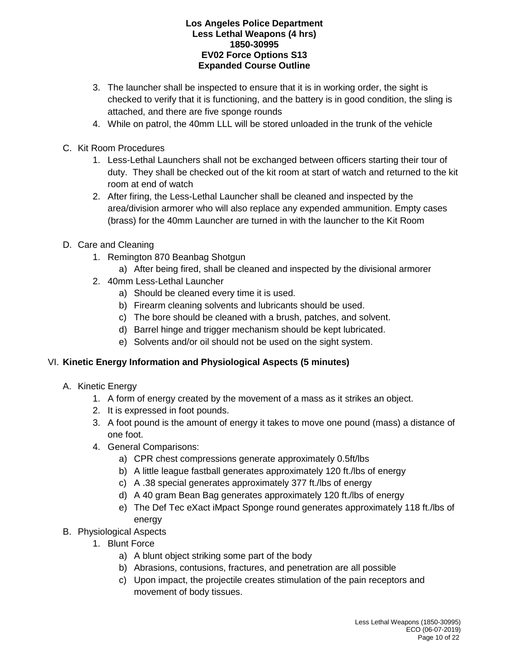- 3. The launcher shall be inspected to ensure that it is in working order, the sight is checked to verify that it is functioning, and the battery is in good condition, the sling is attached, and there are five sponge rounds
- 4. While on patrol, the 40mm LLL will be stored unloaded in the trunk of the vehicle
- C. Kit Room Procedures
	- 1. Less-Lethal Launchers shall not be exchanged between officers starting their tour of duty. They shall be checked out of the kit room at start of watch and returned to the kit room at end of watch
	- 2. After firing, the Less-Lethal Launcher shall be cleaned and inspected by the area/division armorer who will also replace any expended ammunition. Empty cases (brass) for the 40mm Launcher are turned in with the launcher to the Kit Room
- D. Care and Cleaning
	- 1. Remington 870 Beanbag Shotgun
		- a) After being fired, shall be cleaned and inspected by the divisional armorer
	- 2. 40mm Less-Lethal Launcher
		- a) Should be cleaned every time it is used.
		- b) Firearm cleaning solvents and lubricants should be used.
		- c) The bore should be cleaned with a brush, patches, and solvent.
		- d) Barrel hinge and trigger mechanism should be kept lubricated.
		- e) Solvents and/or oil should not be used on the sight system.

## VI. **Kinetic Energy Information and Physiological Aspects (5 minutes)**

- A. Kinetic Energy
	- 1. A form of energy created by the movement of a mass as it strikes an object.
	- 2. It is expressed in foot pounds.
	- 3. A foot pound is the amount of energy it takes to move one pound (mass) a distance of one foot.
	- 4. General Comparisons:
		- a) CPR chest compressions generate approximately 0.5ft/lbs
		- b) A little league fastball generates approximately 120 ft./lbs of energy
		- c) A .38 special generates approximately 377 ft./lbs of energy
		- d) A 40 gram Bean Bag generates approximately 120 ft./lbs of energy
		- e) The Def Tec eXact iMpact Sponge round generates approximately 118 ft./lbs of energy
- B. Physiological Aspects
	- 1. Blunt Force
		- a) A blunt object striking some part of the body
		- b) Abrasions, contusions, fractures, and penetration are all possible
		- c) Upon impact, the projectile creates stimulation of the pain receptors and movement of body tissues.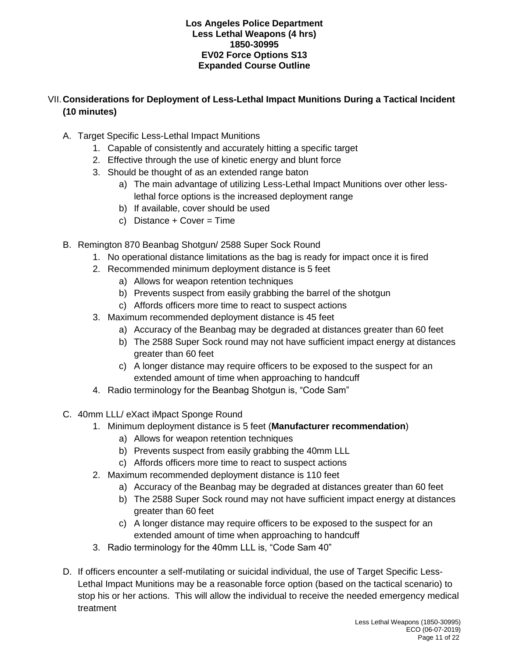# VII.**Considerations for Deployment of Less-Lethal Impact Munitions During a Tactical Incident (10 minutes)**

- A. Target Specific Less-Lethal Impact Munitions
	- 1. Capable of consistently and accurately hitting a specific target
	- 2. Effective through the use of kinetic energy and blunt force
	- 3. Should be thought of as an extended range baton
		- a) The main advantage of utilizing Less-Lethal Impact Munitions over other lesslethal force options is the increased deployment range
		- b) If available, cover should be used
		- c) Distance  $+$  Cover = Time
- B. Remington 870 Beanbag Shotgun/ 2588 Super Sock Round
	- 1. No operational distance limitations as the bag is ready for impact once it is fired
	- 2. Recommended minimum deployment distance is 5 feet
		- a) Allows for weapon retention techniques
		- b) Prevents suspect from easily grabbing the barrel of the shotgun
		- c) Affords officers more time to react to suspect actions
	- 3. Maximum recommended deployment distance is 45 feet
		- a) Accuracy of the Beanbag may be degraded at distances greater than 60 feet
		- b) The 2588 Super Sock round may not have sufficient impact energy at distances greater than 60 feet
		- c) A longer distance may require officers to be exposed to the suspect for an extended amount of time when approaching to handcuff
	- 4. Radio terminology for the Beanbag Shotgun is, "Code Sam"
- C. 40mm LLL/ eXact iMpact Sponge Round
	- 1. Minimum deployment distance is 5 feet (**Manufacturer recommendation**)
		- a) Allows for weapon retention techniques
		- b) Prevents suspect from easily grabbing the 40mm LLL
		- c) Affords officers more time to react to suspect actions
	- 2. Maximum recommended deployment distance is 110 feet
		- a) Accuracy of the Beanbag may be degraded at distances greater than 60 feet
		- b) The 2588 Super Sock round may not have sufficient impact energy at distances greater than 60 feet
		- c) A longer distance may require officers to be exposed to the suspect for an extended amount of time when approaching to handcuff
	- 3. Radio terminology for the 40mm LLL is, "Code Sam 40"
- D. If officers encounter a self-mutilating or suicidal individual, the use of Target Specific Less-Lethal Impact Munitions may be a reasonable force option (based on the tactical scenario) to stop his or her actions. This will allow the individual to receive the needed emergency medical treatment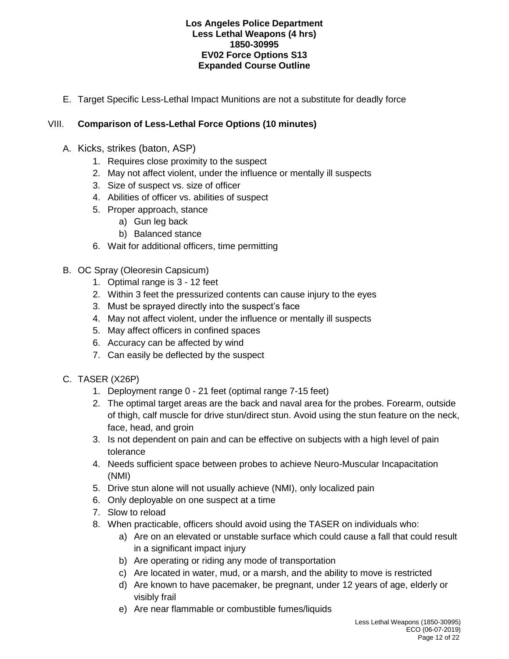E. Target Specific Less-Lethal Impact Munitions are not a substitute for deadly force

# VIII. **Comparison of Less-Lethal Force Options (10 minutes)**

- A. Kicks, strikes (baton, ASP)
	- 1. Requires close proximity to the suspect
	- 2. May not affect violent, under the influence or mentally ill suspects
	- 3. Size of suspect vs. size of officer
	- 4. Abilities of officer vs. abilities of suspect
	- 5. Proper approach, stance
		- a) Gun leg back
		- b) Balanced stance
	- 6. Wait for additional officers, time permitting
- B. OC Spray (Oleoresin Capsicum)
	- 1. Optimal range is 3 12 feet
	- 2. Within 3 feet the pressurized contents can cause injury to the eyes
	- 3. Must be sprayed directly into the suspect's face
	- 4. May not affect violent, under the influence or mentally ill suspects
	- 5. May affect officers in confined spaces
	- 6. Accuracy can be affected by wind
	- 7. Can easily be deflected by the suspect
- C. TASER (X26P)
	- 1. Deployment range 0 21 feet (optimal range 7-15 feet)
	- 2. The optimal target areas are the back and naval area for the probes. Forearm, outside of thigh, calf muscle for drive stun/direct stun. Avoid using the stun feature on the neck, face, head, and groin
	- 3. Is not dependent on pain and can be effective on subjects with a high level of pain tolerance
	- 4. Needs sufficient space between probes to achieve Neuro-Muscular Incapacitation (NMI)
	- 5. Drive stun alone will not usually achieve (NMI), only localized pain
	- 6. Only deployable on one suspect at a time
	- 7. Slow to reload
	- 8. When practicable, officers should avoid using the TASER on individuals who:
		- a) Are on an elevated or unstable surface which could cause a fall that could result in a significant impact injury
		- b) Are operating or riding any mode of transportation
		- c) Are located in water, mud, or a marsh, and the ability to move is restricted
		- d) Are known to have pacemaker, be pregnant, under 12 years of age, elderly or visibly frail
		- e) Are near flammable or combustible fumes/liquids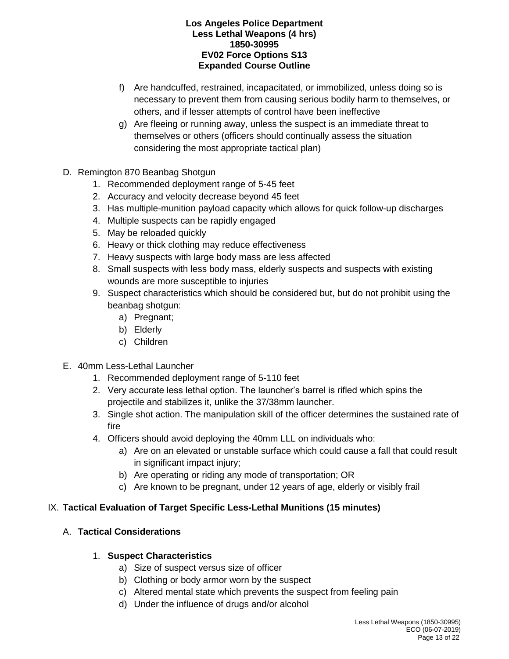- f) Are handcuffed, restrained, incapacitated, or immobilized, unless doing so is necessary to prevent them from causing serious bodily harm to themselves, or others, and if lesser attempts of control have been ineffective
- g) Are fleeing or running away, unless the suspect is an immediate threat to themselves or others (officers should continually assess the situation considering the most appropriate tactical plan)
- D. Remington 870 Beanbag Shotgun
	- 1. Recommended deployment range of 5-45 feet
	- 2. Accuracy and velocity decrease beyond 45 feet
	- 3. Has multiple-munition payload capacity which allows for quick follow-up discharges
	- 4. Multiple suspects can be rapidly engaged
	- 5. May be reloaded quickly
	- 6. Heavy or thick clothing may reduce effectiveness
	- 7. Heavy suspects with large body mass are less affected
	- 8. Small suspects with less body mass, elderly suspects and suspects with existing wounds are more susceptible to injuries
	- 9. Suspect characteristics which should be considered but, but do not prohibit using the beanbag shotgun:
		- a) Pregnant;
		- b) Elderly
		- c) Children
- E. 40mm Less-Lethal Launcher
	- 1. Recommended deployment range of 5-110 feet
	- 2. Very accurate less lethal option. The launcher's barrel is rifled which spins the projectile and stabilizes it, unlike the 37/38mm launcher.
	- 3. Single shot action. The manipulation skill of the officer determines the sustained rate of fire
	- 4. Officers should avoid deploying the 40mm LLL on individuals who:
		- a) Are on an elevated or unstable surface which could cause a fall that could result in significant impact injury;
		- b) Are operating or riding any mode of transportation; OR
		- c) Are known to be pregnant, under 12 years of age, elderly or visibly frail

## IX. **Tactical Evaluation of Target Specific Less-Lethal Munitions (15 minutes)**

# A. **Tactical Considerations**

## 1. **Suspect Characteristics**

- a) Size of suspect versus size of officer
- b) Clothing or body armor worn by the suspect
- c) Altered mental state which prevents the suspect from feeling pain
- d) Under the influence of drugs and/or alcohol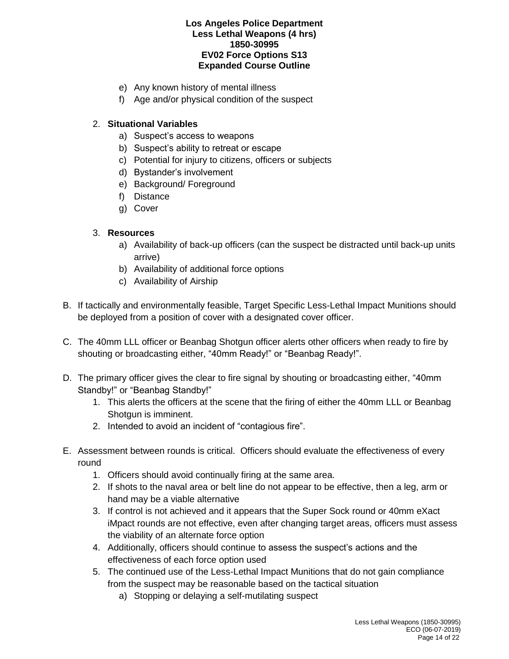- e) Any known history of mental illness
- f) Age and/or physical condition of the suspect

## 2. **Situational Variables**

- a) Suspect's access to weapons
- b) Suspect's ability to retreat or escape
- c) Potential for injury to citizens, officers or subjects
- d) Bystander's involvement
- e) Background/ Foreground
- f) Distance
- g) Cover

## 3. **Resources**

- a) Availability of back-up officers (can the suspect be distracted until back-up units arrive)
- b) Availability of additional force options
- c) Availability of Airship
- B. If tactically and environmentally feasible, Target Specific Less-Lethal Impact Munitions should be deployed from a position of cover with a designated cover officer.
- C. The 40mm LLL officer or Beanbag Shotgun officer alerts other officers when ready to fire by shouting or broadcasting either, "40mm Ready!" or "Beanbag Ready!".
- D. The primary officer gives the clear to fire signal by shouting or broadcasting either, "40mm Standby!" or "Beanbag Standby!"
	- 1. This alerts the officers at the scene that the firing of either the 40mm LLL or Beanbag Shotgun is imminent.
	- 2. Intended to avoid an incident of "contagious fire".
- E. Assessment between rounds is critical. Officers should evaluate the effectiveness of every round
	- 1. Officers should avoid continually firing at the same area.
	- 2. If shots to the naval area or belt line do not appear to be effective, then a leg, arm or hand may be a viable alternative
	- 3. If control is not achieved and it appears that the Super Sock round or 40mm eXact iMpact rounds are not effective, even after changing target areas, officers must assess the viability of an alternate force option
	- 4. Additionally, officers should continue to assess the suspect's actions and the effectiveness of each force option used
	- 5. The continued use of the Less-Lethal Impact Munitions that do not gain compliance from the suspect may be reasonable based on the tactical situation
		- a) Stopping or delaying a self-mutilating suspect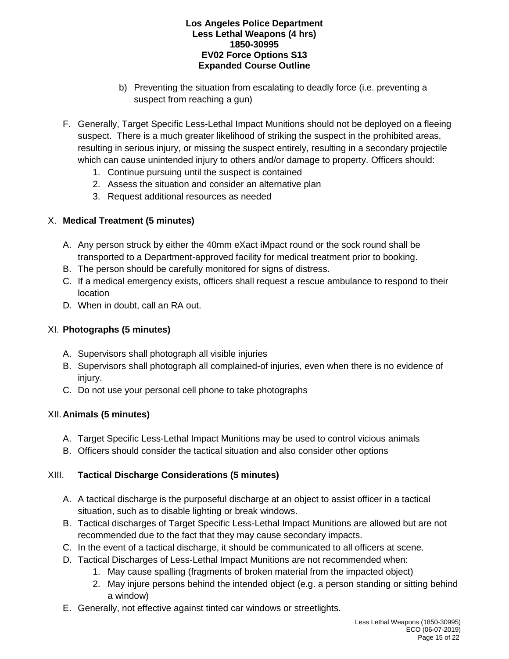- b) Preventing the situation from escalating to deadly force (i.e. preventing a suspect from reaching a gun)
- F. Generally, Target Specific Less-Lethal Impact Munitions should not be deployed on a fleeing suspect. There is a much greater likelihood of striking the suspect in the prohibited areas, resulting in serious injury, or missing the suspect entirely, resulting in a secondary projectile which can cause unintended injury to others and/or damage to property. Officers should:
	- 1. Continue pursuing until the suspect is contained
	- 2. Assess the situation and consider an alternative plan
	- 3. Request additional resources as needed

## X. **Medical Treatment (5 minutes)**

- A. Any person struck by either the 40mm eXact iMpact round or the sock round shall be transported to a Department-approved facility for medical treatment prior to booking.
- B. The person should be carefully monitored for signs of distress.
- C. If a medical emergency exists, officers shall request a rescue ambulance to respond to their location
- D. When in doubt, call an RA out.

# XI. **Photographs (5 minutes)**

- A. Supervisors shall photograph all visible injuries
- B. Supervisors shall photograph all complained-of injuries, even when there is no evidence of injury.
- C. Do not use your personal cell phone to take photographs

# XII.**Animals (5 minutes)**

- A. Target Specific Less-Lethal Impact Munitions may be used to control vicious animals
- B. Officers should consider the tactical situation and also consider other options

# XIII. **Tactical Discharge Considerations (5 minutes)**

- A. A tactical discharge is the purposeful discharge at an object to assist officer in a tactical situation, such as to disable lighting or break windows.
- B. Tactical discharges of Target Specific Less-Lethal Impact Munitions are allowed but are not recommended due to the fact that they may cause secondary impacts.
- C. In the event of a tactical discharge, it should be communicated to all officers at scene.
- D. Tactical Discharges of Less-Lethal Impact Munitions are not recommended when:
	- 1. May cause spalling (fragments of broken material from the impacted object)
	- 2. May injure persons behind the intended object (e.g. a person standing or sitting behind a window)
- E. Generally, not effective against tinted car windows or streetlights.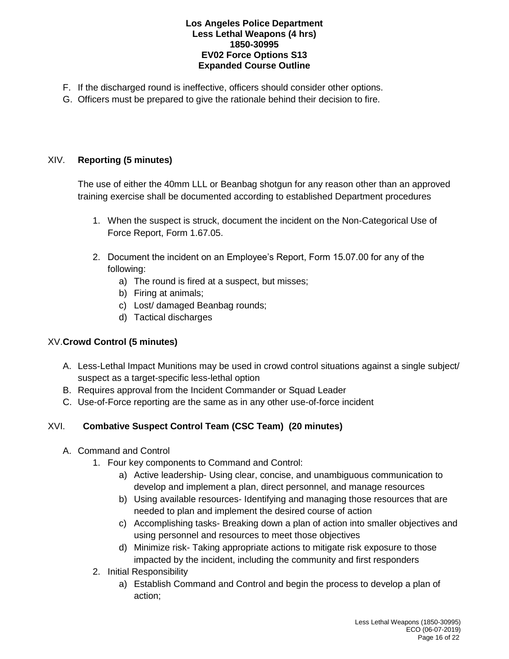- F. If the discharged round is ineffective, officers should consider other options.
- G. Officers must be prepared to give the rationale behind their decision to fire.

# XIV. **Reporting (5 minutes)**

The use of either the 40mm LLL or Beanbag shotgun for any reason other than an approved training exercise shall be documented according to established Department procedures

- 1. When the suspect is struck, document the incident on the Non-Categorical Use of Force Report, Form 1.67.05.
- 2. Document the incident on an Employee's Report, Form 15.07.00 for any of the following:
	- a) The round is fired at a suspect, but misses;
	- b) Firing at animals;
	- c) Lost/ damaged Beanbag rounds;
	- d) Tactical discharges

# XV.**Crowd Control (5 minutes)**

- A. Less-Lethal Impact Munitions may be used in crowd control situations against a single subject/ suspect as a target-specific less-lethal option
- B. Requires approval from the Incident Commander or Squad Leader
- C. Use-of-Force reporting are the same as in any other use-of-force incident

# XVI. **Combative Suspect Control Team (CSC Team) (20 minutes)**

- A. Command and Control
	- 1. Four key components to Command and Control:
		- a) Active leadership- Using clear, concise, and unambiguous communication to develop and implement a plan, direct personnel, and manage resources
		- b) Using available resources- Identifying and managing those resources that are needed to plan and implement the desired course of action
		- c) Accomplishing tasks- Breaking down a plan of action into smaller objectives and using personnel and resources to meet those objectives
		- d) Minimize risk- Taking appropriate actions to mitigate risk exposure to those impacted by the incident, including the community and first responders
	- 2. Initial Responsibility
		- a) Establish Command and Control and begin the process to develop a plan of action;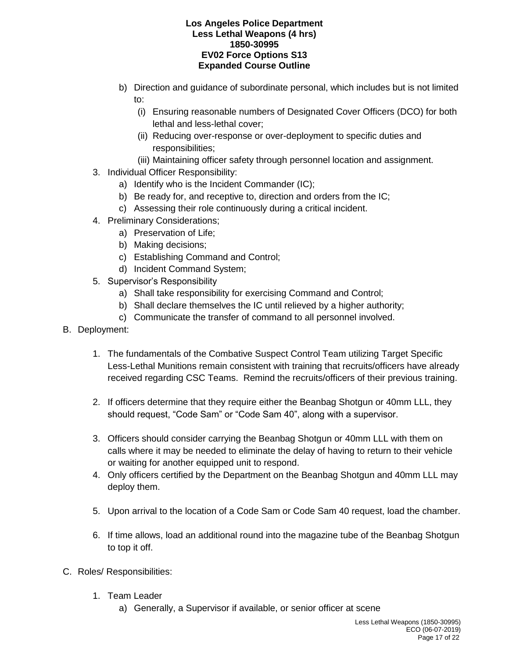- b) Direction and guidance of subordinate personal, which includes but is not limited to:
	- (i) Ensuring reasonable numbers of Designated Cover Officers (DCO) for both lethal and less-lethal cover;
	- (ii) Reducing over-response or over-deployment to specific duties and responsibilities;
	- (iii) Maintaining officer safety through personnel location and assignment.
- 3. Individual Officer Responsibility:
	- a) Identify who is the Incident Commander (IC);
	- b) Be ready for, and receptive to, direction and orders from the IC;
	- c) Assessing their role continuously during a critical incident.
- 4. Preliminary Considerations;
	- a) Preservation of Life;
	- b) Making decisions;
	- c) Establishing Command and Control;
	- d) Incident Command System;
- 5. Supervisor's Responsibility
	- a) Shall take responsibility for exercising Command and Control;
	- b) Shall declare themselves the IC until relieved by a higher authority;
	- c) Communicate the transfer of command to all personnel involved.
- B. Deployment:
	- 1. The fundamentals of the Combative Suspect Control Team utilizing Target Specific Less-Lethal Munitions remain consistent with training that recruits/officers have already received regarding CSC Teams. Remind the recruits/officers of their previous training.
	- 2. If officers determine that they require either the Beanbag Shotgun or 40mm LLL, they should request, "Code Sam" or "Code Sam 40", along with a supervisor.
	- 3. Officers should consider carrying the Beanbag Shotgun or 40mm LLL with them on calls where it may be needed to eliminate the delay of having to return to their vehicle or waiting for another equipped unit to respond.
	- 4. Only officers certified by the Department on the Beanbag Shotgun and 40mm LLL may deploy them.
	- 5. Upon arrival to the location of a Code Sam or Code Sam 40 request, load the chamber.
	- 6. If time allows, load an additional round into the magazine tube of the Beanbag Shotgun to top it off.
- C. Roles/ Responsibilities:
	- 1. Team Leader
		- a) Generally, a Supervisor if available, or senior officer at scene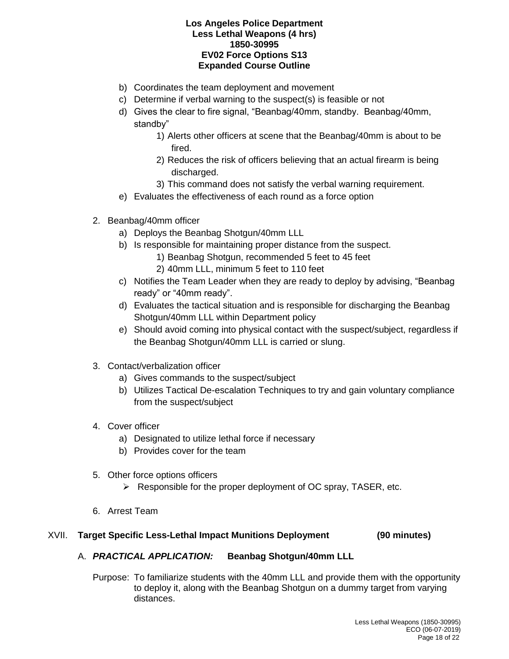- b) Coordinates the team deployment and movement
- c) Determine if verbal warning to the suspect(s) is feasible or not
- d) Gives the clear to fire signal, "Beanbag/40mm, standby. Beanbag/40mm, standby"
	- 1) Alerts other officers at scene that the Beanbag/40mm is about to be fired.
	- 2) Reduces the risk of officers believing that an actual firearm is being discharged.
	- 3) This command does not satisfy the verbal warning requirement.
- e) Evaluates the effectiveness of each round as a force option
- 2. Beanbag/40mm officer
	- a) Deploys the Beanbag Shotgun/40mm LLL
	- b) Is responsible for maintaining proper distance from the suspect.
		- 1) Beanbag Shotgun, recommended 5 feet to 45 feet
		- 2) 40mm LLL, minimum 5 feet to 110 feet
	- c) Notifies the Team Leader when they are ready to deploy by advising, "Beanbag ready" or "40mm ready".
	- d) Evaluates the tactical situation and is responsible for discharging the Beanbag Shotgun/40mm LLL within Department policy
	- e) Should avoid coming into physical contact with the suspect/subject, regardless if the Beanbag Shotgun/40mm LLL is carried or slung.
- 3. Contact/verbalization officer
	- a) Gives commands to the suspect/subject
	- b) Utilizes Tactical De-escalation Techniques to try and gain voluntary compliance from the suspect/subject
- 4. Cover officer
	- a) Designated to utilize lethal force if necessary
	- b) Provides cover for the team
- 5. Other force options officers
	- ➢ Responsible for the proper deployment of OC spray, TASER, etc.
- 6. Arrest Team

### XVII. **Target Specific Less-Lethal Impact Munitions Deployment (90 minutes)**

## A. *PRACTICAL APPLICATION:* **Beanbag Shotgun/40mm LLL**

Purpose: To familiarize students with the 40mm LLL and provide them with the opportunity to deploy it, along with the Beanbag Shotgun on a dummy target from varying distances.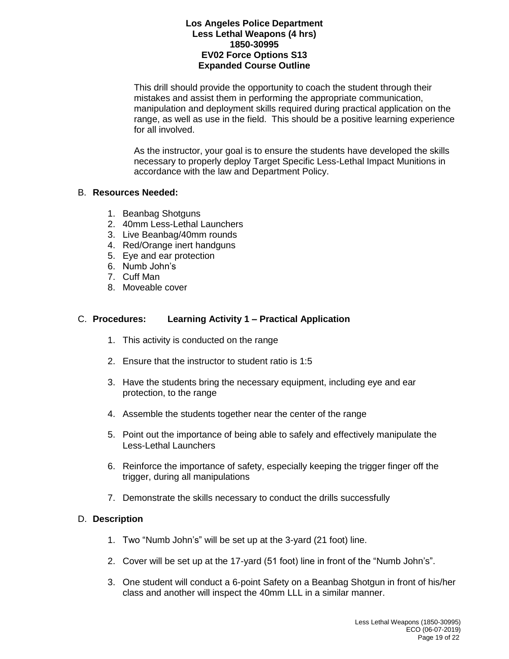This drill should provide the opportunity to coach the student through their mistakes and assist them in performing the appropriate communication, manipulation and deployment skills required during practical application on the range, as well as use in the field. This should be a positive learning experience for all involved.

As the instructor, your goal is to ensure the students have developed the skills necessary to properly deploy Target Specific Less-Lethal Impact Munitions in accordance with the law and Department Policy.

### B. **Resources Needed:**

- 1. Beanbag Shotguns
- 2. 40mm Less-Lethal Launchers
- 3. Live Beanbag/40mm rounds
- 4. Red/Orange inert handguns
- 5. Eye and ear protection
- 6. Numb John's
- 7. Cuff Man
- 8. Moveable cover

### C. **Procedures: Learning Activity 1 – Practical Application**

- 1. This activity is conducted on the range
- 2. Ensure that the instructor to student ratio is 1:5
- 3. Have the students bring the necessary equipment, including eye and ear protection, to the range
- 4. Assemble the students together near the center of the range
- 5. Point out the importance of being able to safely and effectively manipulate the Less-Lethal Launchers
- 6. Reinforce the importance of safety, especially keeping the trigger finger off the trigger, during all manipulations
- 7. Demonstrate the skills necessary to conduct the drills successfully

### D. **Description**

- 1. Two "Numb John's" will be set up at the 3-yard (21 foot) line.
- 2. Cover will be set up at the 17-yard (51 foot) line in front of the "Numb John's".
- 3. One student will conduct a 6-point Safety on a Beanbag Shotgun in front of his/her class and another will inspect the 40mm LLL in a similar manner.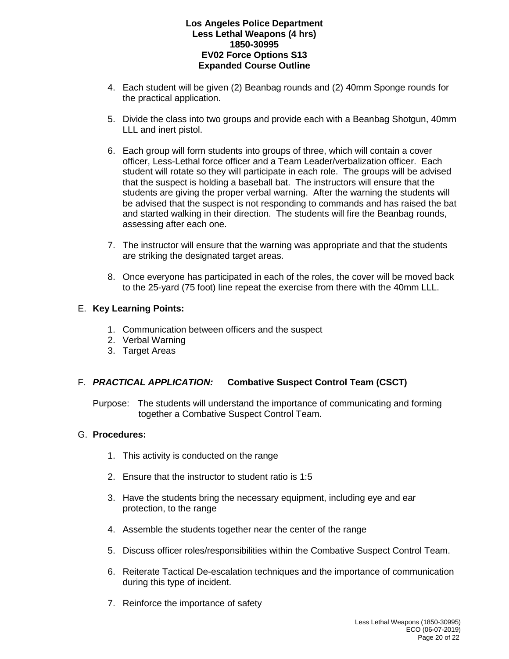- 4. Each student will be given (2) Beanbag rounds and (2) 40mm Sponge rounds for the practical application.
- 5. Divide the class into two groups and provide each with a Beanbag Shotgun, 40mm LLL and inert pistol.
- 6. Each group will form students into groups of three, which will contain a cover officer, Less-Lethal force officer and a Team Leader/verbalization officer. Each student will rotate so they will participate in each role. The groups will be advised that the suspect is holding a baseball bat. The instructors will ensure that the students are giving the proper verbal warning. After the warning the students will be advised that the suspect is not responding to commands and has raised the bat and started walking in their direction. The students will fire the Beanbag rounds, assessing after each one.
- 7. The instructor will ensure that the warning was appropriate and that the students are striking the designated target areas.
- 8. Once everyone has participated in each of the roles, the cover will be moved back to the 25-yard (75 foot) line repeat the exercise from there with the 40mm LLL.

## E. **Key Learning Points:**

- 1. Communication between officers and the suspect
- 2. Verbal Warning
- 3. Target Areas

### F. *PRACTICAL APPLICATION:* **Combative Suspect Control Team (CSCT)**

Purpose: The students will understand the importance of communicating and forming together a Combative Suspect Control Team.

### G. **Procedures:**

- 1. This activity is conducted on the range
- 2. Ensure that the instructor to student ratio is 1:5
- 3. Have the students bring the necessary equipment, including eye and ear protection, to the range
- 4. Assemble the students together near the center of the range
- 5. Discuss officer roles/responsibilities within the Combative Suspect Control Team.
- 6. Reiterate Tactical De-escalation techniques and the importance of communication during this type of incident.
- 7. Reinforce the importance of safety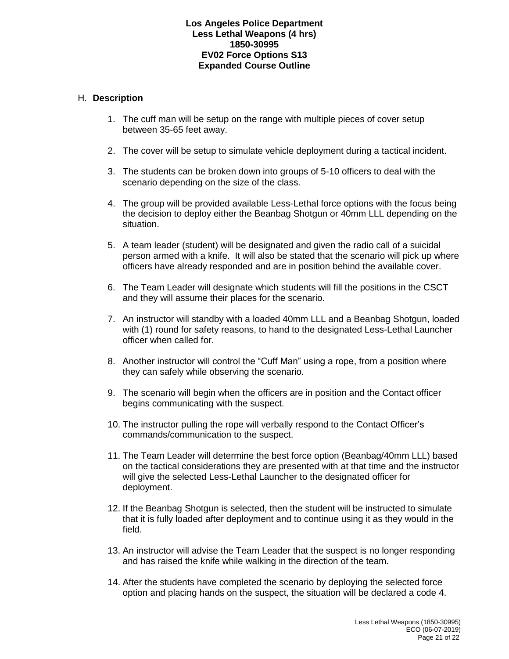### H. **Description**

- 1. The cuff man will be setup on the range with multiple pieces of cover setup between 35-65 feet away.
- 2. The cover will be setup to simulate vehicle deployment during a tactical incident.
- 3. The students can be broken down into groups of 5-10 officers to deal with the scenario depending on the size of the class.
- 4. The group will be provided available Less-Lethal force options with the focus being the decision to deploy either the Beanbag Shotgun or 40mm LLL depending on the situation.
- 5. A team leader (student) will be designated and given the radio call of a suicidal person armed with a knife. It will also be stated that the scenario will pick up where officers have already responded and are in position behind the available cover.
- 6. The Team Leader will designate which students will fill the positions in the CSCT and they will assume their places for the scenario.
- 7. An instructor will standby with a loaded 40mm LLL and a Beanbag Shotgun, loaded with (1) round for safety reasons, to hand to the designated Less-Lethal Launcher officer when called for.
- 8. Another instructor will control the "Cuff Man" using a rope, from a position where they can safely while observing the scenario.
- 9. The scenario will begin when the officers are in position and the Contact officer begins communicating with the suspect.
- 10. The instructor pulling the rope will verbally respond to the Contact Officer's commands/communication to the suspect.
- 11. The Team Leader will determine the best force option (Beanbag/40mm LLL) based on the tactical considerations they are presented with at that time and the instructor will give the selected Less-Lethal Launcher to the designated officer for deployment.
- 12. If the Beanbag Shotgun is selected, then the student will be instructed to simulate that it is fully loaded after deployment and to continue using it as they would in the field.
- 13. An instructor will advise the Team Leader that the suspect is no longer responding and has raised the knife while walking in the direction of the team.
- 14. After the students have completed the scenario by deploying the selected force option and placing hands on the suspect, the situation will be declared a code 4.